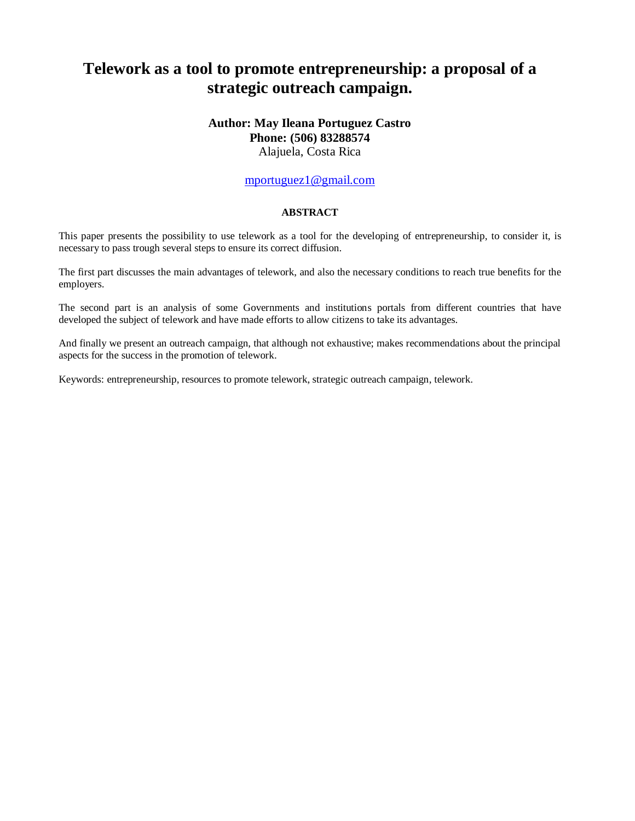# **Telework as a tool to promote entrepreneurship: a proposal of a strategic outreach campaign.**

# **Author: May Ileana Portuguez Castro Phone: (506) 83288574**

Alajuela, Costa Rica

### [mportuguez1@gmail.com](mailto:mportuguez1@gmail.com)

#### **ABSTRACT**

This paper presents the possibility to use telework as a tool for the developing of entrepreneurship, to consider it, is necessary to pass trough several steps to ensure its correct diffusion.

The first part discusses the main advantages of telework, and also the necessary conditions to reach true benefits for the employers.

The second part is an analysis of some Governments and institutions portals from different countries that have developed the subject of telework and have made efforts to allow citizens to take its advantages.

And finally we present an outreach campaign, that although not exhaustive; makes recommendations about the principal aspects for the success in the promotion of telework.

Keywords: entrepreneurship, resources to promote telework, strategic outreach campaign, telework.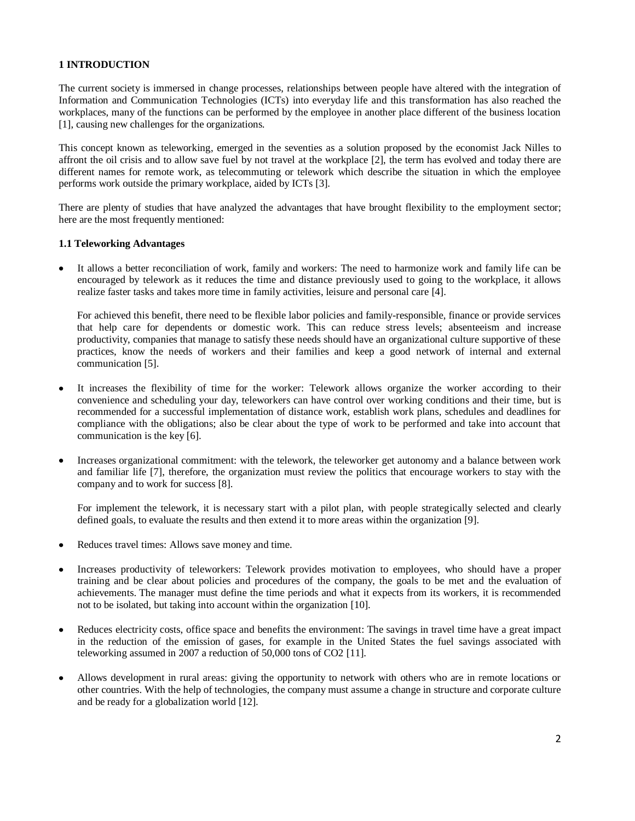#### **1 INTRODUCTION**

The current society is immersed in change processes, relationships between people have altered with the integration of Information and Communication Technologies (ICTs) into everyday life and this transformation has also reached the workplaces, many of the functions can be performed by the employee in another place different of the business location [1], causing new challenges for the organizations.

This concept known as teleworking, emerged in the seventies as a solution proposed by the economist Jack Nilles to affront the oil crisis and to allow save fuel by not travel at the workplace [2], the term has evolved and today there are different names for remote work, as telecommuting or telework which describe the situation in which the employee performs work outside the primary workplace, aided by ICTs [3].

There are plenty of studies that have analyzed the advantages that have brought flexibility to the employment sector; here are the most frequently mentioned:

#### **1.1 Teleworking Advantages**

It allows a better reconciliation of work, family and workers: The need to harmonize work and family life can be encouraged by telework as it reduces the time and distance previously used to going to the workplace, it allows realize faster tasks and takes more time in family activities, leisure and personal care [4].

For achieved this benefit, there need to be flexible labor policies and family-responsible, finance or provide services that help care for dependents or domestic work. This can reduce stress levels; absenteeism and increase productivity, companies that manage to satisfy these needs should have an organizational culture supportive of these practices, know the needs of workers and their families and keep a good network of internal and external communication [5].

- It increases the flexibility of time for the worker: Telework allows organize the worker according to their convenience and scheduling your day, teleworkers can have control over working conditions and their time, but is recommended for a successful implementation of distance work, establish work plans, schedules and deadlines for compliance with the obligations; also be clear about the type of work to be performed and take into account that communication is the key [6].
- Increases organizational commitment: with the telework, the teleworker get autonomy and a balance between work and familiar life [7], therefore, the organization must review the politics that encourage workers to stay with the company and to work for success [8].

For implement the telework, it is necessary start with a pilot plan, with people strategically selected and clearly defined goals, to evaluate the results and then extend it to more areas within the organization [9].

- Reduces travel times: Allows save money and time.
- Increases productivity of teleworkers: Telework provides motivation to employees, who should have a proper training and be clear about policies and procedures of the company, the goals to be met and the evaluation of achievements. The manager must define the time periods and what it expects from its workers, it is recommended not to be isolated, but taking into account within the organization [10].
- Reduces electricity costs, office space and benefits the environment: The savings in travel time have a great impact in the reduction of the emission of gases, for example in the United States the fuel savings associated with teleworking assumed in 2007 a reduction of 50,000 tons of CO2 [11].
- Allows development in rural areas: giving the opportunity to network with others who are in remote locations or other countries. With the help of technologies, the company must assume a change in structure and corporate culture and be ready for a globalization world [12].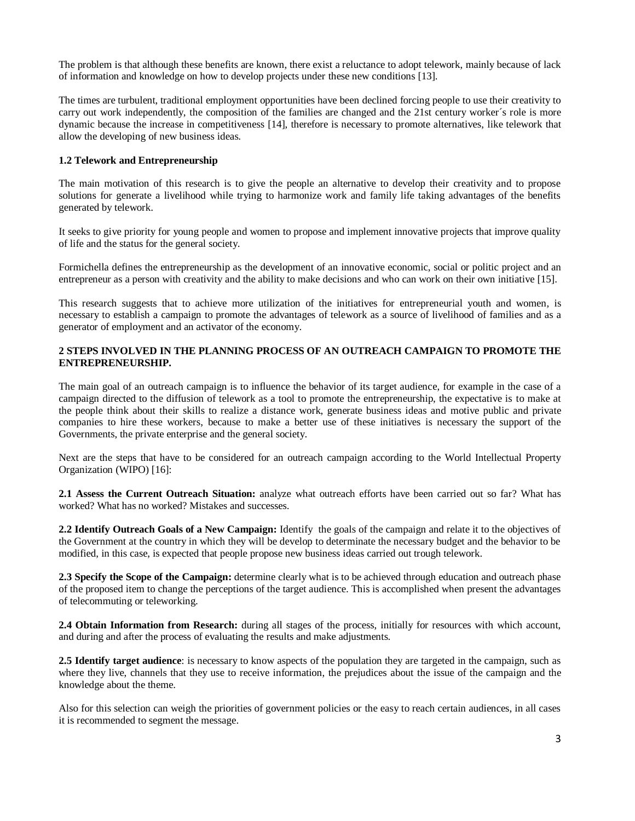The problem is that although these benefits are known, there exist a reluctance to adopt telework, mainly because of lack of information and knowledge on how to develop projects under these new conditions [13].

The times are turbulent, traditional employment opportunities have been declined forcing people to use their creativity to carry out work independently, the composition of the families are changed and the 21st century worker´s role is more dynamic because the increase in competitiveness [14], therefore is necessary to promote alternatives, like telework that allow the developing of new business ideas.

#### **1.2 Telework and Entrepreneurship**

The main motivation of this research is to give the people an alternative to develop their creativity and to propose solutions for generate a livelihood while trying to harmonize work and family life taking advantages of the benefits generated by telework.

It seeks to give priority for young people and women to propose and implement innovative projects that improve quality of life and the status for the general society.

Formichella defines the entrepreneurship as the development of an innovative economic, social or politic project and an entrepreneur as a person with creativity and the ability to make decisions and who can work on their own initiative [15].

This research suggests that to achieve more utilization of the initiatives for entrepreneurial youth and women, is necessary to establish a campaign to promote the advantages of telework as a source of livelihood of families and as a generator of employment and an activator of the economy.

#### **2 STEPS INVOLVED IN THE PLANNING PROCESS OF AN OUTREACH CAMPAIGN TO PROMOTE THE ENTREPRENEURSHIP.**

The main goal of an outreach campaign is to influence the behavior of its target audience, for example in the case of a campaign directed to the diffusion of telework as a tool to promote the entrepreneurship, the expectative is to make at the people think about their skills to realize a distance work, generate business ideas and motive public and private companies to hire these workers, because to make a better use of these initiatives is necessary the support of the Governments, the private enterprise and the general society.

Next are the steps that have to be considered for an outreach campaign according to the World Intellectual Property Organization (WIPO) [16]:

**2.1 Assess the Current Outreach Situation:** analyze what outreach efforts have been carried out so far? What has worked? What has no worked? Mistakes and successes.

**2.2 Identify Outreach Goals of a New Campaign:** Identify the goals of the campaign and relate it to the objectives of the Government at the country in which they will be develop to determinate the necessary budget and the behavior to be modified, in this case, is expected that people propose new business ideas carried out trough telework.

**2.3 Specify the Scope of the Campaign:** determine clearly what is to be achieved through education and outreach phase of the proposed item to change the perceptions of the target audience. This is accomplished when present the advantages of telecommuting or teleworking.

**2.4 Obtain Information from Research:** during all stages of the process, initially for resources with which account, and during and after the process of evaluating the results and make adjustments.

**2.5 Identify target audience**: is necessary to know aspects of the population they are targeted in the campaign, such as where they live, channels that they use to receive information, the prejudices about the issue of the campaign and the knowledge about the theme.

Also for this selection can weigh the priorities of government policies or the easy to reach certain audiences, in all cases it is recommended to segment the message.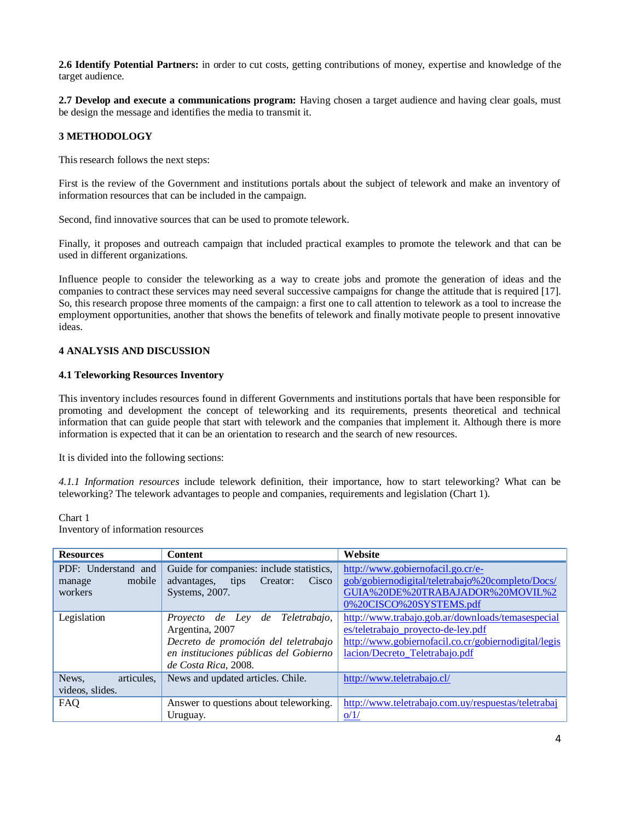**2.6 Identify Potential Partners:** in order to cut costs, getting contributions of money, expertise and knowledge of the target audience.

**2.7 Develop and execute a communications program:** Having chosen a target audience and having clear goals, must be design the message and identifies the media to transmit it.

#### **3 METHODOLOGY**

This research follows the next steps:

First is the review of the Government and institutions portals about the subject of telework and make an inventory of information resources that can be included in the campaign.

Second, find innovative sources that can be used to promote telework.

Finally, it proposes and outreach campaign that included practical examples to promote the telework and that can be used in different organizations.

Influence people to consider the teleworking as a way to create jobs and promote the generation of ideas and the companies to contract these services may need several successive campaigns for change the attitude that is required [17]. So, this research propose three moments of the campaign: a first one to call attention to telework as a tool to increase the employment opportunities, another that shows the benefits of telework and finally motivate people to present innovative ideas.

#### **4 ANALYSIS AND DISCUSSION**

#### **4.1 Teleworking Resources Inventory**

This inventory includes resources found in different Governments and institutions portals that have been responsible for promoting and development the concept of teleworking and its requirements, presents theoretical and technical information that can guide people that start with telework and the companies that implement it. Although there is more information is expected that it can be an orientation to research and the search of new resources.

It is divided into the following sections:

*4.1.1 Information resources* include telework definition, their importance, how to start teleworking? What can be teleworking? The telework advantages to people and companies, requirements and legislation (Chart 1).

Chart 1

Inventory of information resources

| <b>Resources</b>                                   | <b>Content</b>                                                                                                                                               | Website                                                                                                                                                                           |
|----------------------------------------------------|--------------------------------------------------------------------------------------------------------------------------------------------------------------|-----------------------------------------------------------------------------------------------------------------------------------------------------------------------------------|
| PDF: Understand and<br>mobile<br>manage<br>workers | Guide for companies: include statistics,<br>advantages,<br>Creator:<br>Cisco<br>tips<br>Systems, 2007.                                                       | http://www.gobiernofacil.go.cr/e-<br>gob/gobiernodigital/teletrabajo%20completo/Docs/<br>GUIA%20DE%20TRABAJADOR%20MOVIL%2<br>0%20CISCO%20SYSTEMS.pdf                              |
| Legislation                                        | Proyecto de Ley de Teletrabajo,<br>Argentina, 2007<br>Decreto de promoción del teletrabajo<br>en instituciones públicas del Gobierno<br>de Costa Rica, 2008. | http://www.trabajo.gob.ar/downloads/temasespecial<br>es/teletrabajo_proyecto-de-ley.pdf<br>http://www.gobiernofacil.co.cr/gobiernodigital/legis<br>lacion/Decreto_Teletrabajo.pdf |
| News,<br>articules.<br>videos, slides.             | News and updated articles. Chile.                                                                                                                            | http://www.teletrabajo.cl/                                                                                                                                                        |
| FAQ                                                | Answer to questions about teleworking.<br>Uruguay.                                                                                                           | http://www.teletrabajo.com.uy/respuestas/teletrabaj<br>o/1/                                                                                                                       |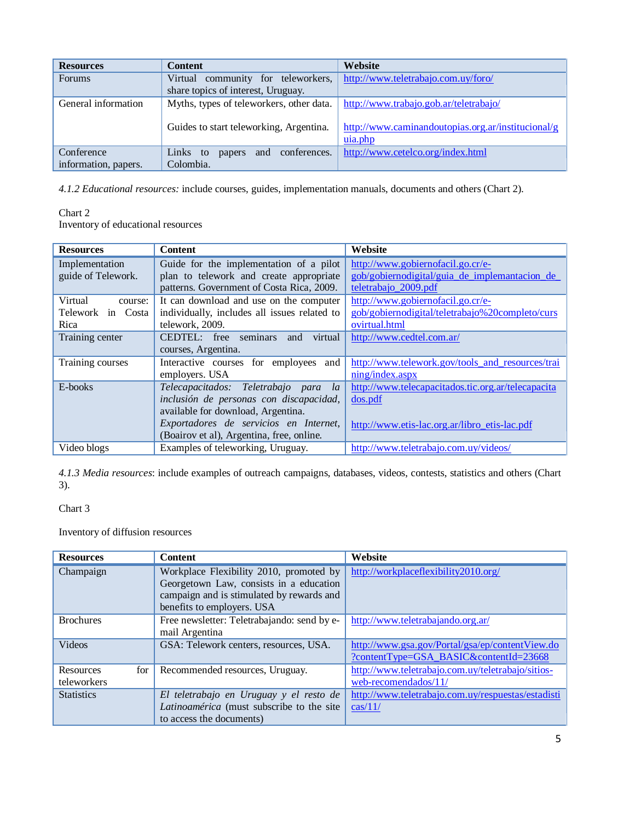| <b>Resources</b>     | <b>Content</b>                            | Website                                            |
|----------------------|-------------------------------------------|----------------------------------------------------|
| <b>Forums</b>        | Virtual community for teleworkers,        | http://www.teletrabajo.com.uy/foro/                |
|                      | share topics of interest, Uruguay.        |                                                    |
| General information  | Myths, types of teleworkers, other data.  | http://www.trabajo.gob.ar/teletrabajo/             |
|                      |                                           |                                                    |
|                      | Guides to start teleworking, Argentina.   | http://www.caminandoutopias.org.ar/institucional/g |
|                      |                                           | uia.php                                            |
| Conference           | conferences.<br>Links to<br>and<br>papers | http://www.cetelco.org/index.html                  |
| information, papers. | Colombia.                                 |                                                    |

*4.1.2 Educational resources:* include courses, guides, implementation manuals, documents and others (Chart 2).

#### Chart 2 Inventory of educational resources

| <b>Resources</b>                     | <b>Content</b>                                                                     | Website                                                                             |
|--------------------------------------|------------------------------------------------------------------------------------|-------------------------------------------------------------------------------------|
| Implementation<br>guide of Telework. | Guide for the implementation of a pilot<br>plan to telework and create appropriate | http://www.gobiernofacil.go.cr/e-<br>gob/gobiernodigital/guia_de_implemantacion_de_ |
|                                      | patterns. Government of Costa Rica, 2009.                                          | teletrabajo_2009.pdf                                                                |
| Virtual<br>course:                   | It can download and use on the computer                                            | http://www.gobiernofacil.go.cr/e-                                                   |
| Telework in Costa                    | individually, includes all issues related to                                       | gob/gobiernodigital/teletrabajo%20completo/curs                                     |
| Rica                                 | telework, 2009.                                                                    | ovirtual.html                                                                       |
| Training center                      | CEDTEL: free seminars<br>virtual<br>and                                            | http://www.cedtel.com.ar/                                                           |
|                                      | courses, Argentina.                                                                |                                                                                     |
| Training courses                     | Interactive courses for employees and                                              | http://www.telework.gov/tools_and_resources/trai                                    |
|                                      | employers. USA                                                                     | $ning/index.$ aspx                                                                  |
| E-books                              | Telecapacitados: Teletrabajo para<br>la                                            | http://www.telecapacitados.tic.org.ar/telecapacita                                  |
|                                      | inclusión de personas con discapacidad,                                            | dos.pdf                                                                             |
|                                      | available for download, Argentina.                                                 |                                                                                     |
|                                      | Exportadores de servicios en Internet,                                             | http://www.etis-lac.org.ar/libro_etis-lac.pdf                                       |
|                                      | (Boairov et al), Argentina, free, online.                                          |                                                                                     |
| Video blogs                          | Examples of teleworking, Uruguay.                                                  | http://www.teletrabajo.com.uy/videos/                                               |

*4.1.3 Media resources*: include examples of outreach campaigns, databases, videos, contests, statistics and others (Chart 3).

# Chart 3

Inventory of diffusion resources

| <b>Resources</b>  | <b>Content</b>                                                                                                                  | Website                                            |
|-------------------|---------------------------------------------------------------------------------------------------------------------------------|----------------------------------------------------|
| Champaign         | Workplace Flexibility 2010, promoted by<br>Georgetown Law, consists in a education<br>campaign and is stimulated by rewards and | http://workplaceflexibility2010.org/               |
|                   | benefits to employers. USA                                                                                                      |                                                    |
| <b>Brochures</b>  | Free newsletter: Teletrabajando: send by e-                                                                                     | http://www.teletrabajando.org.ar/                  |
|                   | mail Argentina                                                                                                                  |                                                    |
| <b>Videos</b>     | GSA: Telework centers, resources, USA.                                                                                          | http://www.gsa.gov/Portal/gsa/ep/contentView.do    |
|                   |                                                                                                                                 | ?contentType=GSA_BASIC&contentId=23668             |
| for<br>Resources  | Recommended resources, Uruguay.                                                                                                 | http://www.teletrabajo.com.uy/teletrabajo/sitios-  |
| teleworkers       |                                                                                                                                 | web-recomendados/11/                               |
| <b>Statistics</b> | El teletrabajo en Uruguay y el resto de                                                                                         | http://www.teletrabajo.com.uy/respuestas/estadisti |
|                   | Latinoamérica (must subscribe to the site                                                                                       | $\cos\left(11\right)$                              |
|                   | to access the documents)                                                                                                        |                                                    |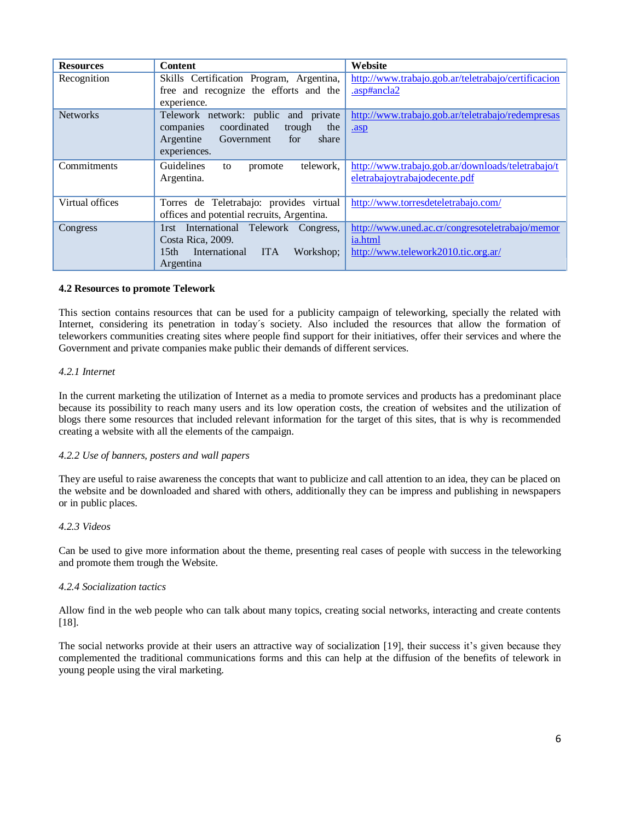| <b>Resources</b> | <b>Content</b>                                               | Website                                             |
|------------------|--------------------------------------------------------------|-----------------------------------------------------|
| Recognition      | Skills Certification Program, Argentina,                     | http://www.trabajo.gob.ar/teletrabajo/certificacion |
|                  | free and recognize the efforts and the                       | .asp#ancla2                                         |
|                  | experience.                                                  |                                                     |
| <b>Networks</b>  | Telework network: public and private                         | http://www.trabajo.gob.ar/teletrabajo/redempresas   |
|                  | coordinated<br>the<br>trough<br>companies                    | .asp                                                |
|                  | share<br>Argentine<br>Government<br>for                      |                                                     |
|                  | experiences.                                                 |                                                     |
| Commitments      | Guidelines<br>telework.<br>promote<br>to                     | http://www.trabajo.gob.ar/downloads/teletrabajo/t   |
|                  | Argentina.                                                   | eletrabajoytrabajodecente.pdf                       |
|                  |                                                              |                                                     |
| Virtual offices  | Torres de Teletrabajo: provides virtual                      | http://www.torresdeteletrabajo.com/                 |
|                  | offices and potential recruits, Argentina.                   |                                                     |
| Congress         | International Telework Congress,<br>$1$ rst                  | http://www.uned.ac.cr/congresoteletrabajo/memor     |
|                  | Costa Rica, 2009.                                            | ia.html                                             |
|                  | 15 <sub>th</sub><br>International<br><b>ITA</b><br>Workshop: | http://www.telework2010.tic.org.ar/                 |
|                  | Argentina                                                    |                                                     |

#### **4.2 Resources to promote Telework**

This section contains resources that can be used for a publicity campaign of teleworking, specially the related with Internet, considering its penetration in today´s society. Also included the resources that allow the formation of teleworkers communities creating sites where people find support for their initiatives, offer their services and where the Government and private companies make public their demands of different services.

#### *4.2.1 Internet*

In the current marketing the utilization of Internet as a media to promote services and products has a predominant place because its possibility to reach many users and its low operation costs, the creation of websites and the utilization of blogs there some resources that included relevant information for the target of this sites, that is why is recommended creating a website with all the elements of the campaign.

#### *4.2.2 Use of banners, posters and wall papers*

They are useful to raise awareness the concepts that want to publicize and call attention to an idea, they can be placed on the website and be downloaded and shared with others, additionally they can be impress and publishing in newspapers or in public places.

#### *4.2.3 Videos*

Can be used to give more information about the theme, presenting real cases of people with success in the teleworking and promote them trough the Website.

#### *4.2.4 Socialization tactics*

Allow find in the web people who can talk about many topics, creating social networks, interacting and create contents [18].

The social networks provide at their users an attractive way of socialization [19], their success it's given because they complemented the traditional communications forms and this can help at the diffusion of the benefits of telework in young people using the viral marketing.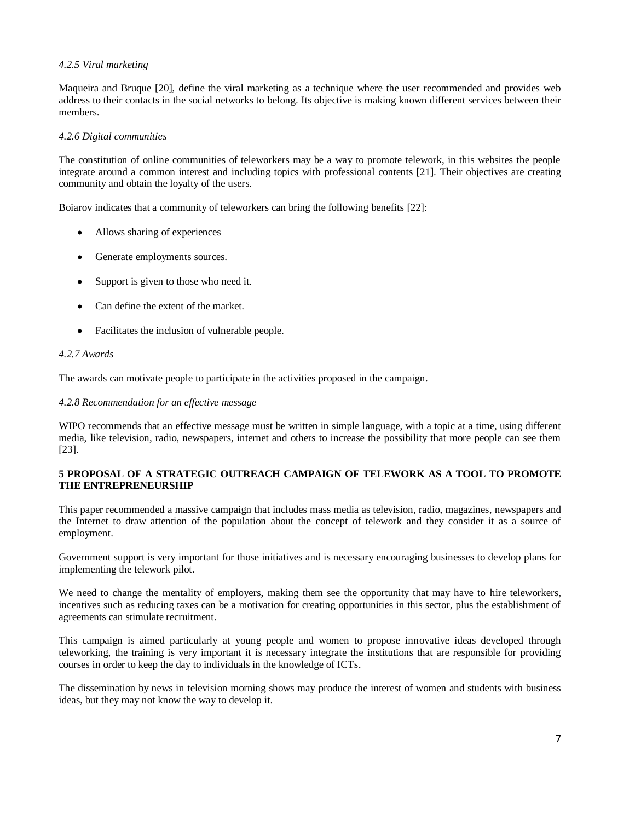#### *4.2.5 Viral marketing*

Maqueira and Bruque [20], define the viral marketing as a technique where the user recommended and provides web address to their contacts in the social networks to belong. Its objective is making known different services between their members.

#### *4.2.6 Digital communities*

The constitution of online communities of teleworkers may be a way to promote telework, in this websites the people integrate around a common interest and including topics with professional contents [21]. Their objectives are creating community and obtain the loyalty of the users.

Boiarov indicates that a community of teleworkers can bring the following benefits [22]:

- Allows sharing of experiences
- Generate employments sources.
- Support is given to those who need it.
- Can define the extent of the market.
- Facilitates the inclusion of vulnerable people.

#### *4.2.7 Awards*

The awards can motivate people to participate in the activities proposed in the campaign.

#### *4.2.8 Recommendation for an effective message*

WIPO recommends that an effective message must be written in simple language, with a topic at a time, using different media, like television, radio, newspapers, internet and others to increase the possibility that more people can see them [23].

#### **5 PROPOSAL OF A STRATEGIC OUTREACH CAMPAIGN OF TELEWORK AS A TOOL TO PROMOTE THE ENTREPRENEURSHIP**

This paper recommended a massive campaign that includes mass media as television, radio, magazines, newspapers and the Internet to draw attention of the population about the concept of telework and they consider it as a source of employment.

Government support is very important for those initiatives and is necessary encouraging businesses to develop plans for implementing the telework pilot.

We need to change the mentality of employers, making them see the opportunity that may have to hire teleworkers, incentives such as reducing taxes can be a motivation for creating opportunities in this sector, plus the establishment of agreements can stimulate recruitment.

This campaign is aimed particularly at young people and women to propose innovative ideas developed through teleworking, the training is very important it is necessary integrate the institutions that are responsible for providing courses in order to keep the day to individuals in the knowledge of ICTs.

The dissemination by news in television morning shows may produce the interest of women and students with business ideas, but they may not know the way to develop it.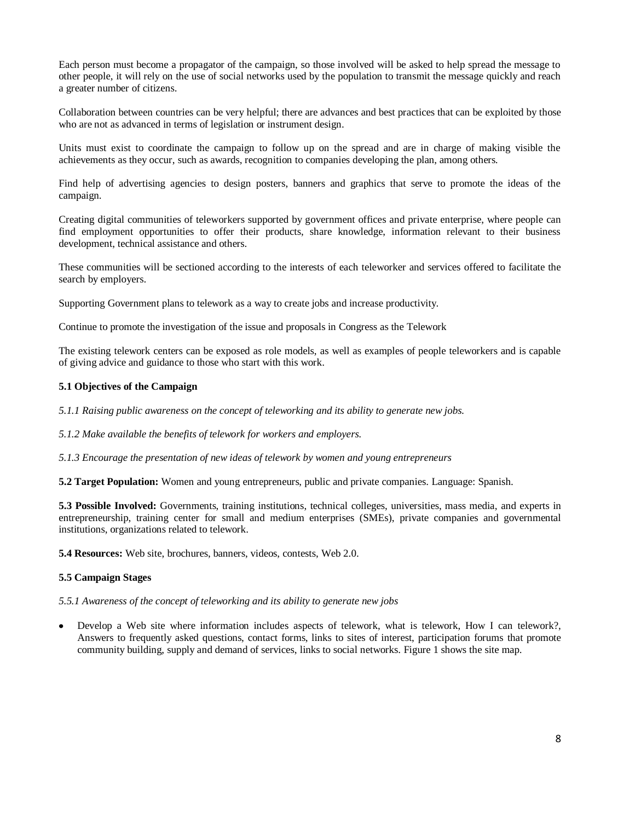Each person must become a propagator of the campaign, so those involved will be asked to help spread the message to other people, it will rely on the use of social networks used by the population to transmit the message quickly and reach a greater number of citizens.

Collaboration between countries can be very helpful; there are advances and best practices that can be exploited by those who are not as advanced in terms of legislation or instrument design.

Units must exist to coordinate the campaign to follow up on the spread and are in charge of making visible the achievements as they occur, such as awards, recognition to companies developing the plan, among others.

Find help of advertising agencies to design posters, banners and graphics that serve to promote the ideas of the campaign.

Creating digital communities of teleworkers supported by government offices and private enterprise, where people can find employment opportunities to offer their products, share knowledge, information relevant to their business development, technical assistance and others.

These communities will be sectioned according to the interests of each teleworker and services offered to facilitate the search by employers.

Supporting Government plans to telework as a way to create jobs and increase productivity.

Continue to promote the investigation of the issue and proposals in Congress as the Telework

The existing telework centers can be exposed as role models, as well as examples of people teleworkers and is capable of giving advice and guidance to those who start with this work.

#### **5.1 Objectives of the Campaign**

*5.1.1 Raising public awareness on the concept of teleworking and its ability to generate new jobs.*

*5.1.2 Make available the benefits of telework for workers and employers.*

*5.1.3 Encourage the presentation of new ideas of telework by women and young entrepreneurs*

**5.2 Target Population:** Women and young entrepreneurs, public and private companies. Language: Spanish.

**5.3 Possible Involved:** Governments, training institutions, technical colleges, universities, mass media, and experts in entrepreneurship, training center for small and medium enterprises (SMEs), private companies and governmental institutions, organizations related to telework.

**5.4 Resources:** Web site, brochures, banners, videos, contests, Web 2.0.

#### **5.5 Campaign Stages**

*5.5.1 Awareness of the concept of teleworking and its ability to generate new jobs*

Develop a Web site where information includes aspects of telework, what is telework, How I can telework?, Answers to frequently asked questions, contact forms, links to sites of interest, participation forums that promote community building, supply and demand of services, links to social networks. Figure 1 shows the site map.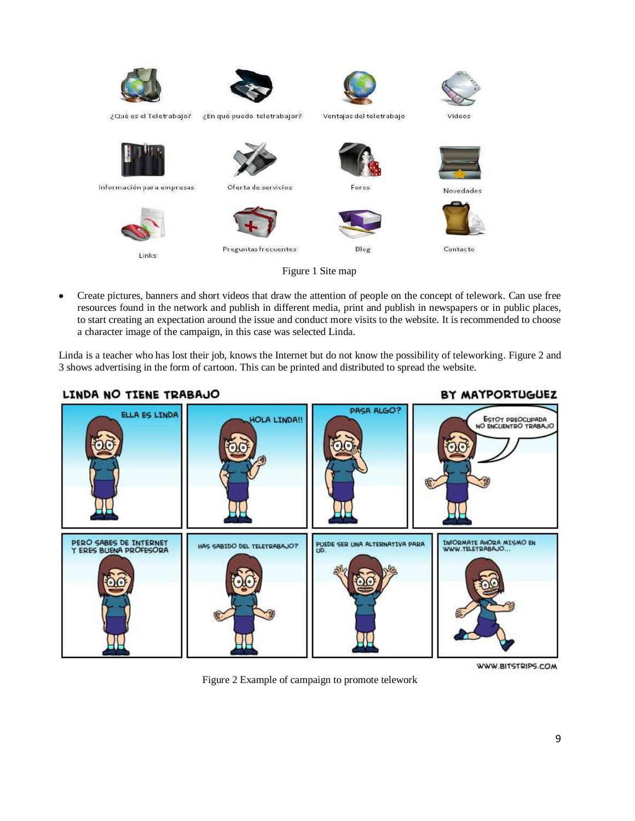

Create pictures, banners and short videos that draw the attention of people on the concept of telework. Can use free  $\bullet$ resources found in the network and publish in different media, print and publish in newspapers or in public places, to start creating an expectation around the issue and conduct more visits to the website. It is recommended to choose a character image of the campaign, in this case was selected Linda.

Linda is a teacher who has lost their job, knows the Internet but do not know the possibility of teleworking. Figure 2 and 3 shows advertising in the form of cartoon. This can be printed and distributed to spread the website.



Figure 2 Example of campaign to promote telework

WWW.BITSTRIPS.COM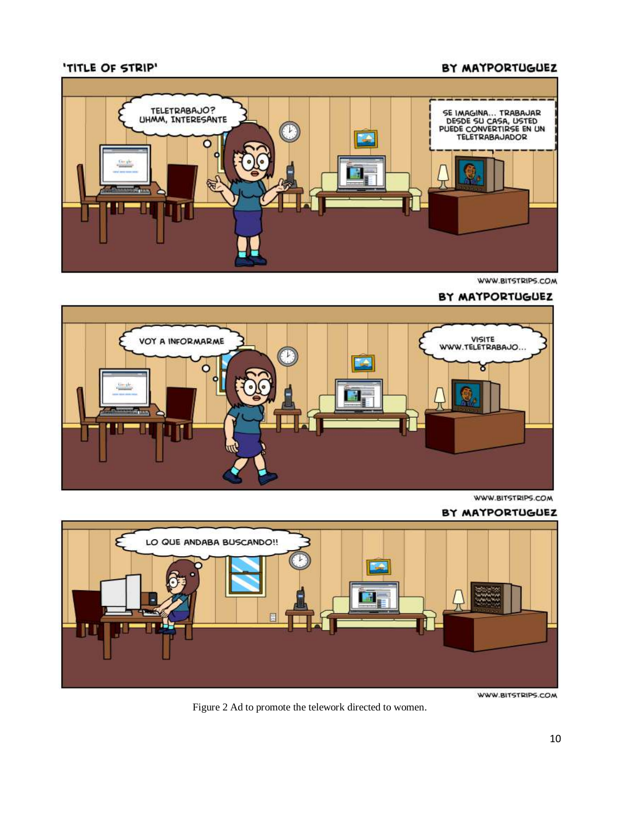# BY MAYPORTUGUEZ

## 'TITLE OF STRIP'



WWW.BITSTRIPS.COM

#### BY MAYPORTUGUEZ



WWW.BITSTRIPS.COM

#### BY MAYPORTUGUEZ



WWW.BITSTRIPS.COM

Figure 2 Ad to promote the telework directed to women.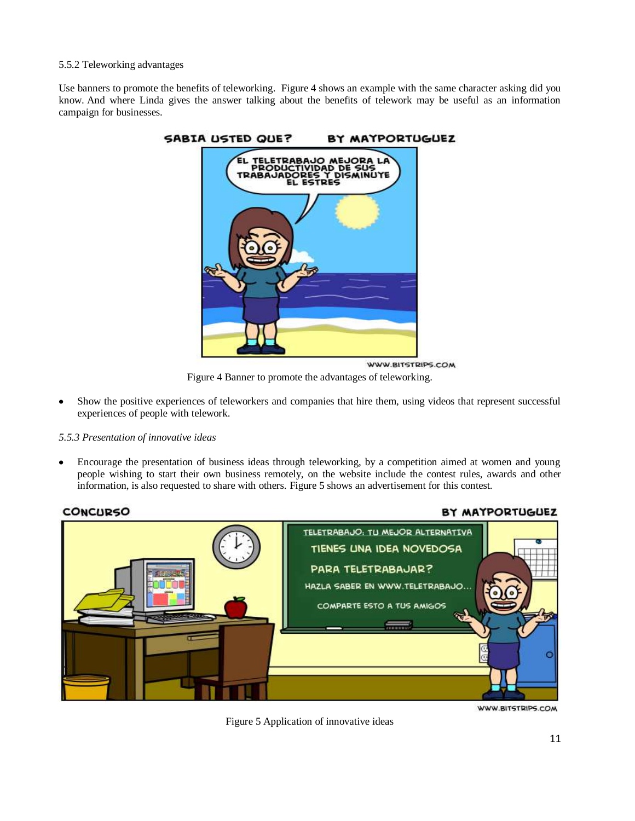#### 5.5.2 Teleworking advantages

Use banners to promote the benefits of teleworking. Figure 4 shows an example with the same character asking did you know. And where Linda gives the answer talking about the benefits of telework may be useful as an information campaign for businesses.



Figure 4 Banner to promote the advantages of teleworking.

Show the positive experiences of teleworkers and companies that hire them, using videos that represent successful experiences of people with telework.

#### *5.5.3 Presentation of innovative ideas*

Encourage the presentation of business ideas through teleworking, by a competition aimed at women and young people wishing to start their own business remotely, on the website include the contest rules, awards and other information, is also requested to share with others. Figure 5 shows an advertisement for this contest.



Figure 5 Application of innovative ideas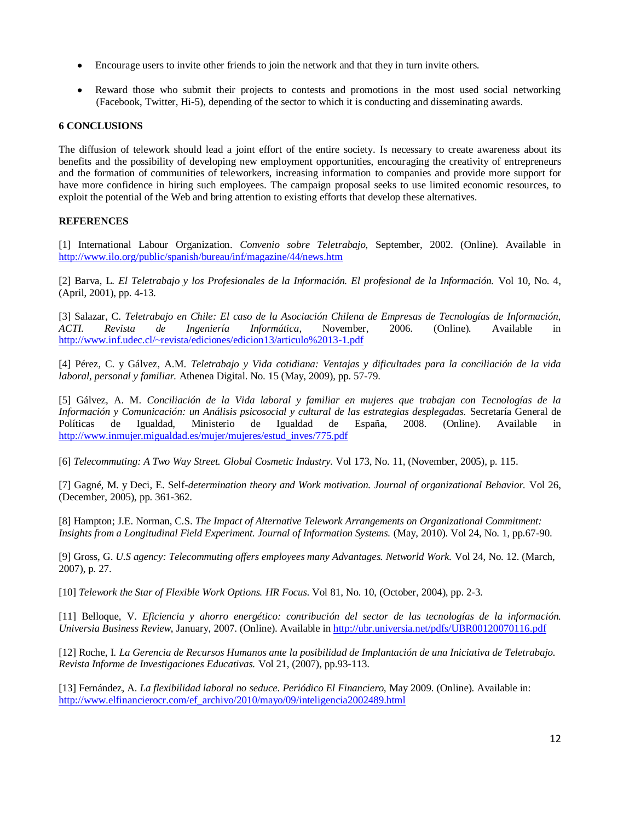- Encourage users to invite other friends to join the network and that they in turn invite others.
- Reward those who submit their projects to contests and promotions in the most used social networking (Facebook, Twitter, Hi-5), depending of the sector to which it is conducting and disseminating awards.

#### **6 CONCLUSIONS**

The diffusion of telework should lead a joint effort of the entire society. Is necessary to create awareness about its benefits and the possibility of developing new employment opportunities, encouraging the creativity of entrepreneurs and the formation of communities of teleworkers, increasing information to companies and provide more support for have more confidence in hiring such employees. The campaign proposal seeks to use limited economic resources, to exploit the potential of the Web and bring attention to existing efforts that develop these alternatives.

#### **REFERENCES**

[1] International Labour Organization. *Convenio sobre Teletrabajo,* September, 2002. (Online). Available in <http://www.ilo.org/public/spanish/bureau/inf/magazine/44/news.htm>

[2] Barva, L. *El Teletrabajo y los Profesionales de la Información. El profesional de la Información.* Vol 10, No. 4*,*  (April, 2001), pp. 4-13.

[3] Salazar, C. *Teletrabajo en Chile: El caso de la Asociación Chilena de Empresas de Tecnologías de Información, ACTI. Revista de Ingeniería Informática,* November, 2006. (Online)*.* Available in <http://www.inf.udec.cl/~revista/ediciones/edicion13/articulo%2013-1.pdf>

[4] Pérez, C. y Gálvez, A.M. *Teletrabajo y Vida cotidiana: Ventajas y dificultades para la conciliación de la vida laboral, personal y familiar.* Athenea Digital. No. 15 (May, 2009), pp. 57-79.

[5] Gálvez, A. M. *Conciliación de la Vida laboral y familiar en mujeres que trabajan con Tecnologías de la Información y Comunicación: un Análisis psicosocial y cultural de las estrategias desplegadas.* Secretaría General de Políticas de Igualdad, Ministerio de Igualdad de España, 2008. (Online). Available in [http://www.inmujer.migualdad.es/mujer/mujeres/estud\\_inves/775.pdf](http://www.inmujer.migualdad.es/mujer/mujeres/estud_inves/775.pdf)

[6] *Telecommuting: A Two Way Street. Global Cosmetic Industry.* Vol 173*,* No. 11*,* (November, 2005), p. 115.

[7] Gagné, M. y Deci, E. Self*-determination theory and Work motivation. Journal of organizational Behavior.* Vol 26, (December, 2005), pp. 361-362.

[8] Hampton; J.E. Norman, C.S. *The Impact of Alternative Telework Arrangements on Organizational Commitment: Insights from a Longitudinal Field Experiment. Journal of Information Systems.* (May, 2010). Vol 24, No. 1, pp.67-90.

[9] Gross, G. *U*.*S agency: Telecommuting offers employees many Advantages. Networld Work.* Vol 24, No. 12. (March, 2007), p. 27.

[10] *Telework the Star of Flexible Work Options. HR Focus.* Vol 81, No. 10, (October, 2004), pp. 2-3.

[11] Belloque, V. *Eficiencia y ahorro energético: contribución del sector de las tecnologías de la información. Universia Business Review*, January, 2007. (Online). Available i[n http://ubr.universia.net/pdfs/UBR00120070116.pdf](http://ubr.universia.net/pdfs/UBR00120070116.pdf)

[12] Roche, I*. La Gerencia de Recursos Humanos ante la posibilidad de Implantación de una Iniciativa de Teletrabajo. Revista Informe de Investigaciones Educativas.* Vol 21, (2007), pp.93-113.

[13] Fernández, A. *La flexibilidad laboral no seduce. Periódico El Financiero,* May 2009*.* (Online). Available in: [http://www.elfinancierocr.com/ef\\_archivo/2010/mayo/09/inteligencia2002489.html](http://www.elfinancierocr.com/ef_archivo/2010/mayo/09/inteligencia2002489.html)